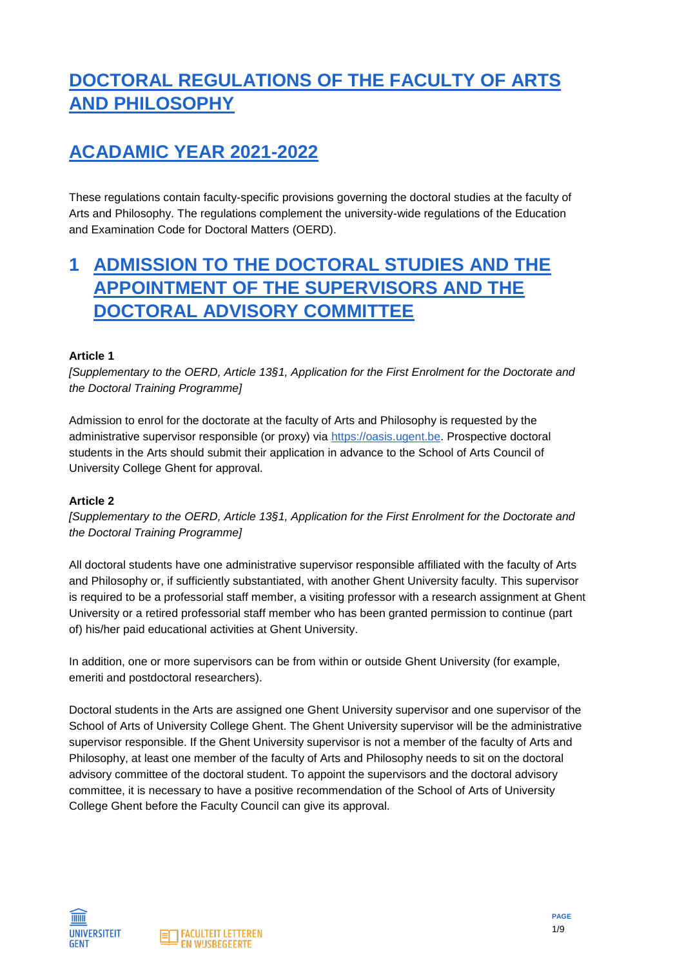# **DOCTORAL REGULATIONS OF THE FACULTY OF ARTS AND PHILOSOPHY**

# **ACADAMIC YEAR 2021-2022**

These regulations contain faculty-specific provisions governing the doctoral studies at the faculty of Arts and Philosophy. The regulations complement the university-wide regulations of the Education and Examination Code for Doctoral Matters (OERD).

## **1 ADMISSION TO THE DOCTORAL STUDIES AND THE APPOINTMENT OF THE SUPERVISORS AND THE DOCTORAL ADVISORY COMMITTEE**

### **Article 1**

*[Supplementary to the OERD, Article 13§1, Application for the First Enrolment for the Doctorate and the Doctoral Training Programme]*

Admission to enrol for the doctorate at the faculty of Arts and Philosophy is requested by the administrative supervisor responsible (or proxy) via [https://oasis.ugent.be.](https://oasis.ugent.be/) Prospective doctoral students in the Arts should submit their application in advance to the School of Arts Council of University College Ghent for approval.

#### **Article 2**

*[Supplementary to the OERD, Article 13§1, Application for the First Enrolment for the Doctorate and the Doctoral Training Programme]*

All doctoral students have one administrative supervisor responsible affiliated with the faculty of Arts and Philosophy or, if sufficiently substantiated, with another Ghent University faculty. This supervisor is required to be a professorial staff member, a visiting professor with a research assignment at Ghent University or a retired professorial staff member who has been granted permission to continue (part of) his/her paid educational activities at Ghent University.

In addition, one or more supervisors can be from within or outside Ghent University (for example, emeriti and postdoctoral researchers).

Doctoral students in the Arts are assigned one Ghent University supervisor and one supervisor of the School of Arts of University College Ghent. The Ghent University supervisor will be the administrative supervisor responsible. If the Ghent University supervisor is not a member of the faculty of Arts and Philosophy, at least one member of the faculty of Arts and Philosophy needs to sit on the doctoral advisory committee of the doctoral student. To appoint the supervisors and the doctoral advisory committee, it is necessary to have a positive recommendation of the School of Arts of University College Ghent before the Faculty Council can give its approval.



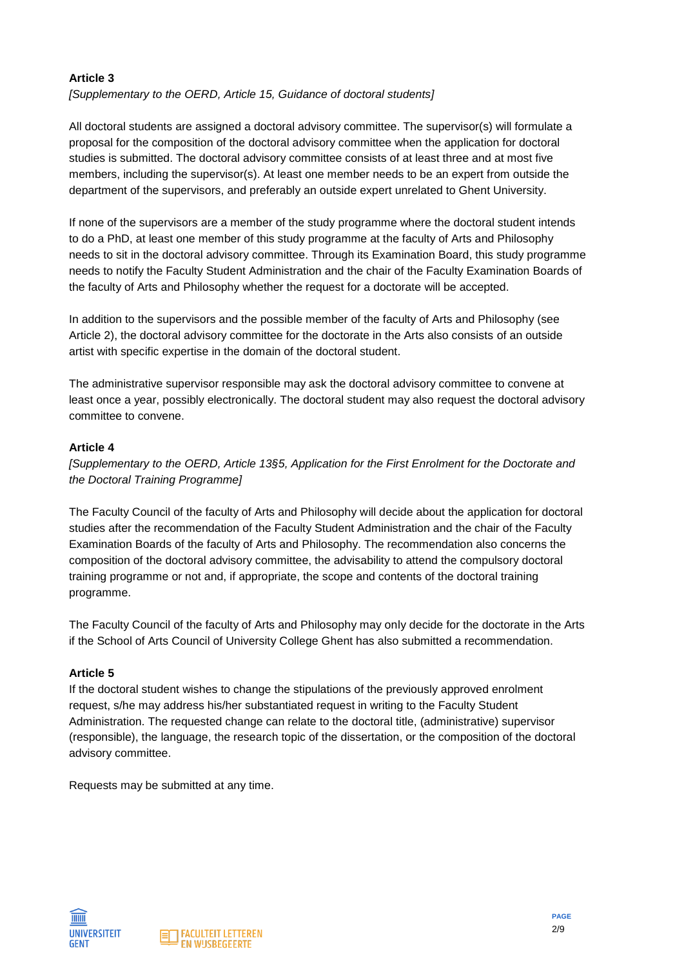### **Article 3**

*[Supplementary to the OERD, Article 15, Guidance of doctoral students]*

All doctoral students are assigned a doctoral advisory committee. The supervisor(s) will formulate a proposal for the composition of the doctoral advisory committee when the application for doctoral studies is submitted. The doctoral advisory committee consists of at least three and at most five members, including the supervisor(s). At least one member needs to be an expert from outside the department of the supervisors, and preferably an outside expert unrelated to Ghent University.

If none of the supervisors are a member of the study programme where the doctoral student intends to do a PhD, at least one member of this study programme at the faculty of Arts and Philosophy needs to sit in the doctoral advisory committee. Through its Examination Board, this study programme needs to notify the Faculty Student Administration and the chair of the Faculty Examination Boards of the faculty of Arts and Philosophy whether the request for a doctorate will be accepted.

In addition to the supervisors and the possible member of the faculty of Arts and Philosophy (see Article 2), the doctoral advisory committee for the doctorate in the Arts also consists of an outside artist with specific expertise in the domain of the doctoral student.

The administrative supervisor responsible may ask the doctoral advisory committee to convene at least once a year, possibly electronically. The doctoral student may also request the doctoral advisory committee to convene.

#### **Article 4**

*[Supplementary to the OERD, Article 13§5, Application for the First Enrolment for the Doctorate and the Doctoral Training Programme]*

The Faculty Council of the faculty of Arts and Philosophy will decide about the application for doctoral studies after the recommendation of the Faculty Student Administration and the chair of the Faculty Examination Boards of the faculty of Arts and Philosophy. The recommendation also concerns the composition of the doctoral advisory committee, the advisability to attend the compulsory doctoral training programme or not and, if appropriate, the scope and contents of the doctoral training programme.

The Faculty Council of the faculty of Arts and Philosophy may only decide for the doctorate in the Arts if the School of Arts Council of University College Ghent has also submitted a recommendation.

#### **Article 5**

If the doctoral student wishes to change the stipulations of the previously approved enrolment request, s/he may address his/her substantiated request in writing to the Faculty Student Administration. The requested change can relate to the doctoral title, (administrative) supervisor (responsible), the language, the research topic of the dissertation, or the composition of the doctoral advisory committee.

Requests may be submitted at any time.



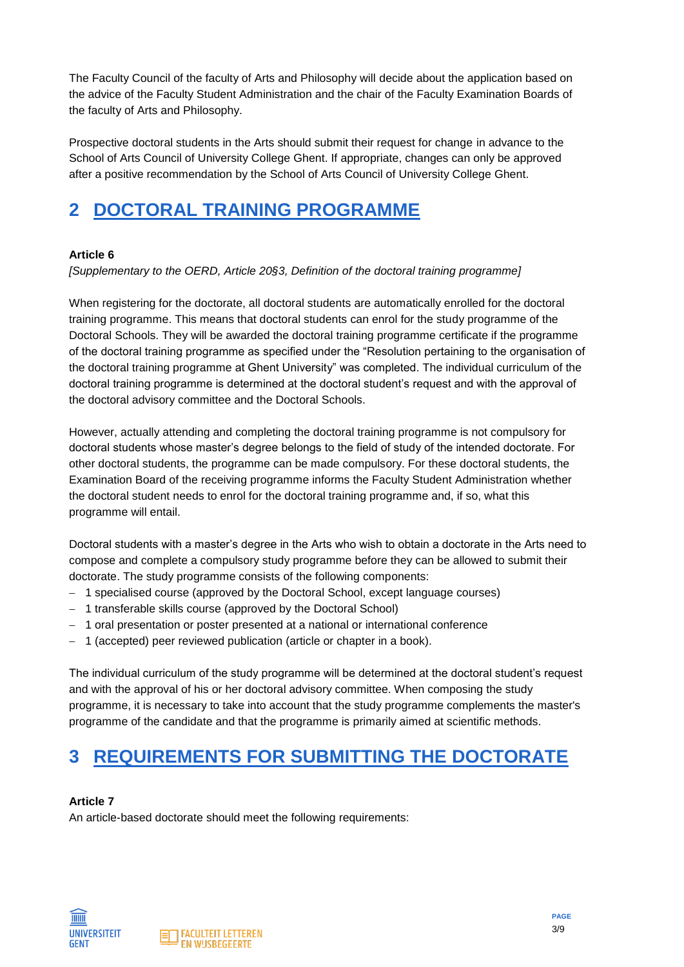The Faculty Council of the faculty of Arts and Philosophy will decide about the application based on the advice of the Faculty Student Administration and the chair of the Faculty Examination Boards of the faculty of Arts and Philosophy.

Prospective doctoral students in the Arts should submit their request for change in advance to the School of Arts Council of University College Ghent. If appropriate, changes can only be approved after a positive recommendation by the School of Arts Council of University College Ghent.

# **2 DOCTORAL TRAINING PROGRAMME**

### **Article 6**

*[Supplementary to the OERD, Article 20§3, Definition of the doctoral training programme]*

When registering for the doctorate, all doctoral students are automatically enrolled for the doctoral training programme. This means that doctoral students can enrol for the study programme of the Doctoral Schools. They will be awarded the doctoral training programme certificate if the programme of the doctoral training programme as specified under the "Resolution pertaining to the organisation of the doctoral training programme at Ghent University" was completed. The individual curriculum of the doctoral training programme is determined at the doctoral student's request and with the approval of the doctoral advisory committee and the Doctoral Schools.

However, actually attending and completing the doctoral training programme is not compulsory for doctoral students whose master's degree belongs to the field of study of the intended doctorate. For other doctoral students, the programme can be made compulsory. For these doctoral students, the Examination Board of the receiving programme informs the Faculty Student Administration whether the doctoral student needs to enrol for the doctoral training programme and, if so, what this programme will entail.

Doctoral students with a master's degree in the Arts who wish to obtain a doctorate in the Arts need to compose and complete a compulsory study programme before they can be allowed to submit their doctorate. The study programme consists of the following components:

- − 1 specialised course (approved by the Doctoral School, except language courses)
- − 1 transferable skills course (approved by the Doctoral School)
- − 1 oral presentation or poster presented at a national or international conference
- − 1 (accepted) peer reviewed publication (article or chapter in a book).

The individual curriculum of the study programme will be determined at the doctoral student's request and with the approval of his or her doctoral advisory committee. When composing the study programme, it is necessary to take into account that the study programme complements the master's programme of the candidate and that the programme is primarily aimed at scientific methods.

# **3 REQUIREMENTS FOR SUBMITTING THE DOCTORATE**

### **Article 7**

An article-based doctorate should meet the following requirements:

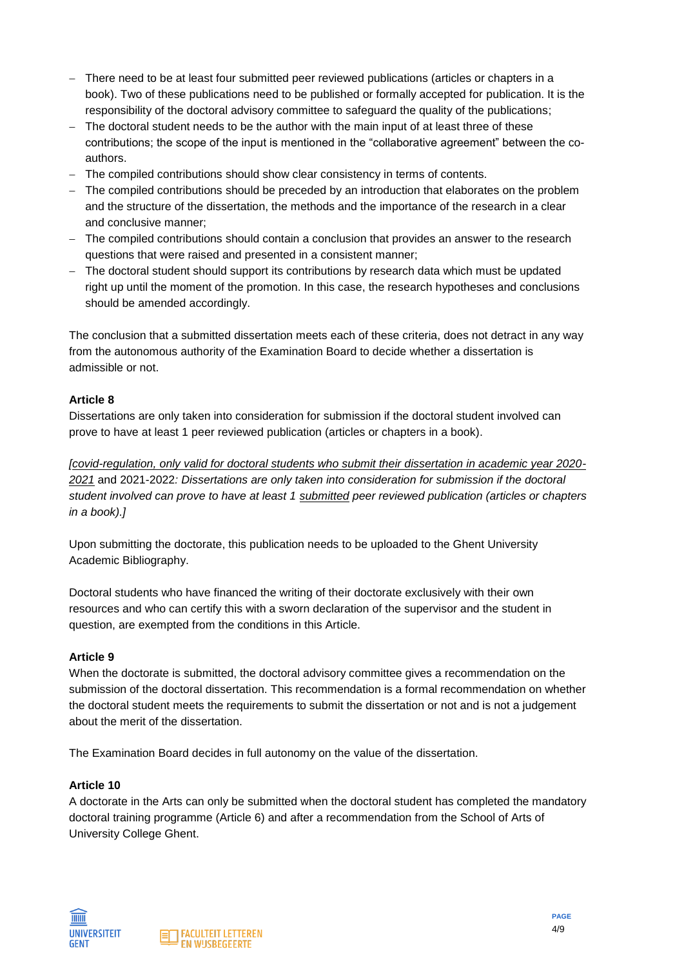- − There need to be at least four submitted peer reviewed publications (articles or chapters in a book). Two of these publications need to be published or formally accepted for publication. It is the responsibility of the doctoral advisory committee to safeguard the quality of the publications;
- − The doctoral student needs to be the author with the main input of at least three of these contributions; the scope of the input is mentioned in the "collaborative agreement" between the coauthors.
- − The compiled contributions should show clear consistency in terms of contents.
- − The compiled contributions should be preceded by an introduction that elaborates on the problem and the structure of the dissertation, the methods and the importance of the research in a clear and conclusive manner;
- − The compiled contributions should contain a conclusion that provides an answer to the research questions that were raised and presented in a consistent manner;
- − The doctoral student should support its contributions by research data which must be updated right up until the moment of the promotion. In this case, the research hypotheses and conclusions should be amended accordingly.

The conclusion that a submitted dissertation meets each of these criteria, does not detract in any way from the autonomous authority of the Examination Board to decide whether a dissertation is admissible or not.

#### **Article 8**

Dissertations are only taken into consideration for submission if the doctoral student involved can prove to have at least 1 peer reviewed publication (articles or chapters in a book).

*[covid-regulation, only valid for doctoral students who submit their dissertation in academic year 2020- 2021* and 2021-2022*: Dissertations are only taken into consideration for submission if the doctoral student involved can prove to have at least 1 submitted peer reviewed publication (articles or chapters in a book).]*

Upon submitting the doctorate, this publication needs to be uploaded to the Ghent University Academic Bibliography.

Doctoral students who have financed the writing of their doctorate exclusively with their own resources and who can certify this with a sworn declaration of the supervisor and the student in question, are exempted from the conditions in this Article.

#### **Article 9**

When the doctorate is submitted, the doctoral advisory committee gives a recommendation on the submission of the doctoral dissertation. This recommendation is a formal recommendation on whether the doctoral student meets the requirements to submit the dissertation or not and is not a judgement about the merit of the dissertation.

The Examination Board decides in full autonomy on the value of the dissertation.

#### **Article 10**

A doctorate in the Arts can only be submitted when the doctoral student has completed the mandatory doctoral training programme (Article 6) and after a recommendation from the School of Arts of University College Ghent.



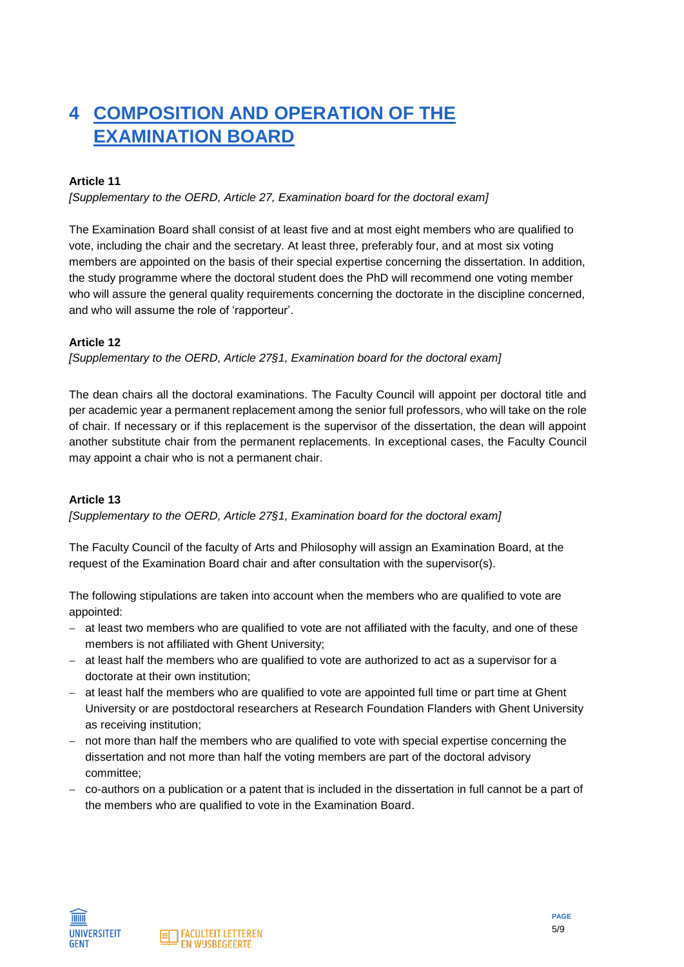# **4 COMPOSITION AND OPERATION OF THE EXAMINATION BOARD**

### **Article 11**

*[Supplementary to the OERD, Article 27, Examination board for the doctoral exam]*

The Examination Board shall consist of at least five and at most eight members who are qualified to vote, including the chair and the secretary. At least three, preferably four, and at most six voting members are appointed on the basis of their special expertise concerning the dissertation. In addition, the study programme where the doctoral student does the PhD will recommend one voting member who will assure the general quality requirements concerning the doctorate in the discipline concerned, and who will assume the role of 'rapporteur'.

### **Article 12**

*[Supplementary to the OERD, Article 27§1, Examination board for the doctoral exam]*

The dean chairs all the doctoral examinations. The Faculty Council will appoint per doctoral title and per academic year a permanent replacement among the senior full professors, who will take on the role of chair. If necessary or if this replacement is the supervisor of the dissertation, the dean will appoint another substitute chair from the permanent replacements. In exceptional cases, the Faculty Council may appoint a chair who is not a permanent chair.

### **Article 13**

*[Supplementary to the OERD, Article 27§1, Examination board for the doctoral exam]*

The Faculty Council of the faculty of Arts and Philosophy will assign an Examination Board, at the request of the Examination Board chair and after consultation with the supervisor(s).

The following stipulations are taken into account when the members who are qualified to vote are appointed:

- − at least two members who are qualified to vote are not affiliated with the faculty, and one of these members is not affiliated with Ghent University;
- − at least half the members who are qualified to vote are authorized to act as a supervisor for a doctorate at their own institution;
- − at least half the members who are qualified to vote are appointed full time or part time at Ghent University or are postdoctoral researchers at Research Foundation Flanders with Ghent University as receiving institution;
- − not more than half the members who are qualified to vote with special expertise concerning the dissertation and not more than half the voting members are part of the doctoral advisory committee;
- − co-authors on a publication or a patent that is included in the dissertation in full cannot be a part of the members who are qualified to vote in the Examination Board.



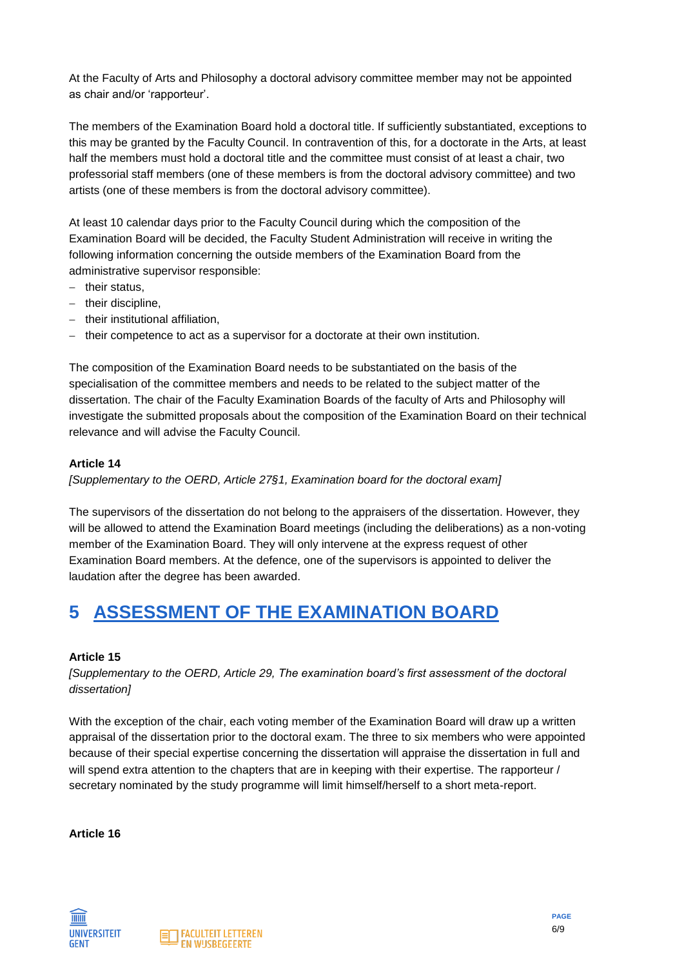At the Faculty of Arts and Philosophy a doctoral advisory committee member may not be appointed as chair and/or 'rapporteur'.

The members of the Examination Board hold a doctoral title. If sufficiently substantiated, exceptions to this may be granted by the Faculty Council. In contravention of this, for a doctorate in the Arts, at least half the members must hold a doctoral title and the committee must consist of at least a chair, two professorial staff members (one of these members is from the doctoral advisory committee) and two artists (one of these members is from the doctoral advisory committee).

At least 10 calendar days prior to the Faculty Council during which the composition of the Examination Board will be decided, the Faculty Student Administration will receive in writing the following information concerning the outside members of the Examination Board from the administrative supervisor responsible:

- − their status,
- − their discipline,
- − their institutional affiliation,
- − their competence to act as a supervisor for a doctorate at their own institution.

The composition of the Examination Board needs to be substantiated on the basis of the specialisation of the committee members and needs to be related to the subject matter of the dissertation. The chair of the Faculty Examination Boards of the faculty of Arts and Philosophy will investigate the submitted proposals about the composition of the Examination Board on their technical relevance and will advise the Faculty Council.

### **Article 14**

*[Supplementary to the OERD, Article 27§1, Examination board for the doctoral exam]*

The supervisors of the dissertation do not belong to the appraisers of the dissertation. However, they will be allowed to attend the Examination Board meetings (including the deliberations) as a non-voting member of the Examination Board. They will only intervene at the express request of other Examination Board members. At the defence, one of the supervisors is appointed to deliver the laudation after the degree has been awarded.

# **5 ASSESSMENT OF THE EXAMINATION BOARD**

### **Article 15**

*[Supplementary to the OERD, Article 29, The examination board's first assessment of the doctoral dissertation]*

With the exception of the chair, each voting member of the Examination Board will draw up a written appraisal of the dissertation prior to the doctoral exam. The three to six members who were appointed because of their special expertise concerning the dissertation will appraise the dissertation in full and will spend extra attention to the chapters that are in keeping with their expertise. The rapporteur / secretary nominated by the study programme will limit himself/herself to a short meta-report.

**Article 16**



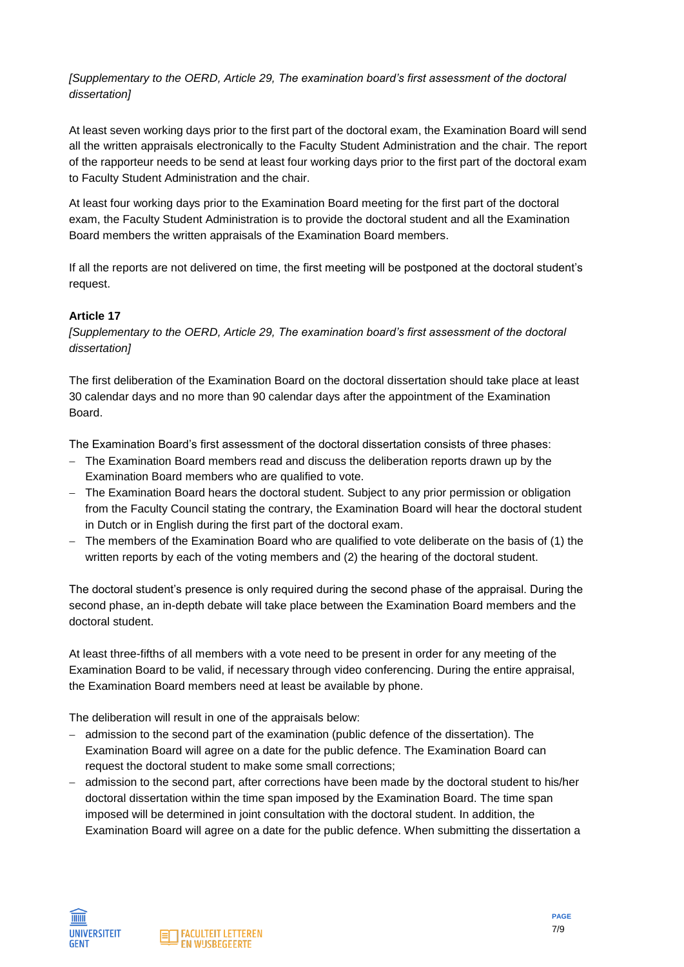*[Supplementary to the OERD, Article 29, The examination board's first assessment of the doctoral dissertation]*

At least seven working days prior to the first part of the doctoral exam, the Examination Board will send all the written appraisals electronically to the Faculty Student Administration and the chair. The report of the rapporteur needs to be send at least four working days prior to the first part of the doctoral exam to Faculty Student Administration and the chair.

At least four working days prior to the Examination Board meeting for the first part of the doctoral exam, the Faculty Student Administration is to provide the doctoral student and all the Examination Board members the written appraisals of the Examination Board members.

If all the reports are not delivered on time, the first meeting will be postponed at the doctoral student's request.

#### **Article 17**

*[Supplementary to the OERD, Article 29, The examination board's first assessment of the doctoral dissertation]*

The first deliberation of the Examination Board on the doctoral dissertation should take place at least 30 calendar days and no more than 90 calendar days after the appointment of the Examination Board.

The Examination Board's first assessment of the doctoral dissertation consists of three phases:

- − The Examination Board members read and discuss the deliberation reports drawn up by the Examination Board members who are qualified to vote.
- − The Examination Board hears the doctoral student. Subject to any prior permission or obligation from the Faculty Council stating the contrary, the Examination Board will hear the doctoral student in Dutch or in English during the first part of the doctoral exam.
- The members of the Examination Board who are qualified to vote deliberate on the basis of (1) the written reports by each of the voting members and (2) the hearing of the doctoral student.

The doctoral student's presence is only required during the second phase of the appraisal. During the second phase, an in-depth debate will take place between the Examination Board members and the doctoral student.

At least three-fifths of all members with a vote need to be present in order for any meeting of the Examination Board to be valid, if necessary through video conferencing. During the entire appraisal, the Examination Board members need at least be available by phone.

The deliberation will result in one of the appraisals below:

- − admission to the second part of the examination (public defence of the dissertation). The Examination Board will agree on a date for the public defence. The Examination Board can request the doctoral student to make some small corrections;
- − admission to the second part, after corrections have been made by the doctoral student to his/her doctoral dissertation within the time span imposed by the Examination Board. The time span imposed will be determined in joint consultation with the doctoral student. In addition, the Examination Board will agree on a date for the public defence. When submitting the dissertation a



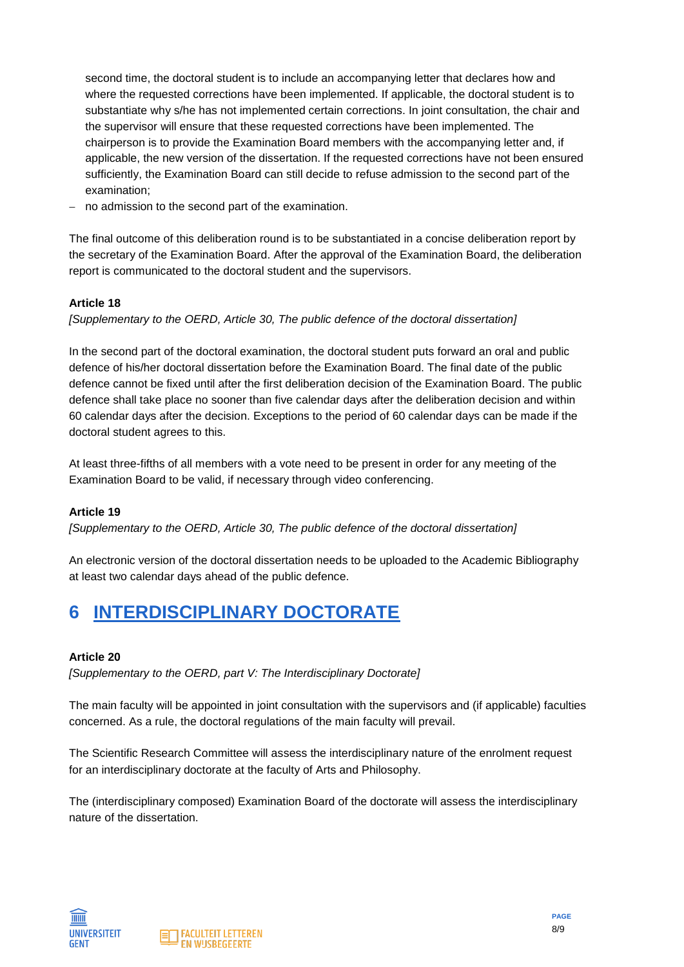second time, the doctoral student is to include an accompanying letter that declares how and where the requested corrections have been implemented. If applicable, the doctoral student is to substantiate why s/he has not implemented certain corrections. In joint consultation, the chair and the supervisor will ensure that these requested corrections have been implemented. The chairperson is to provide the Examination Board members with the accompanying letter and, if applicable, the new version of the dissertation. If the requested corrections have not been ensured sufficiently, the Examination Board can still decide to refuse admission to the second part of the examination;

no admission to the second part of the examination.

The final outcome of this deliberation round is to be substantiated in a concise deliberation report by the secretary of the Examination Board. After the approval of the Examination Board, the deliberation report is communicated to the doctoral student and the supervisors.

#### **Article 18**

*[Supplementary to the OERD, Article 30, The public defence of the doctoral dissertation]*

In the second part of the doctoral examination, the doctoral student puts forward an oral and public defence of his/her doctoral dissertation before the Examination Board. The final date of the public defence cannot be fixed until after the first deliberation decision of the Examination Board. The public defence shall take place no sooner than five calendar days after the deliberation decision and within 60 calendar days after the decision. Exceptions to the period of 60 calendar days can be made if the doctoral student agrees to this.

At least three-fifths of all members with a vote need to be present in order for any meeting of the Examination Board to be valid, if necessary through video conferencing.

#### **Article 19**

*[Supplementary to the OERD, Article 30, The public defence of the doctoral dissertation]*

An electronic version of the doctoral dissertation needs to be uploaded to the Academic Bibliography at least two calendar days ahead of the public defence.

### **6 INTERDISCIPLINARY DOCTORATE**

#### **Article 20**

*[Supplementary to the OERD, part V: The Interdisciplinary Doctorate]*

The main faculty will be appointed in joint consultation with the supervisors and (if applicable) faculties concerned. As a rule, the doctoral regulations of the main faculty will prevail.

The Scientific Research Committee will assess the interdisciplinary nature of the enrolment request for an interdisciplinary doctorate at the faculty of Arts and Philosophy.

The (interdisciplinary composed) Examination Board of the doctorate will assess the interdisciplinary nature of the dissertation.